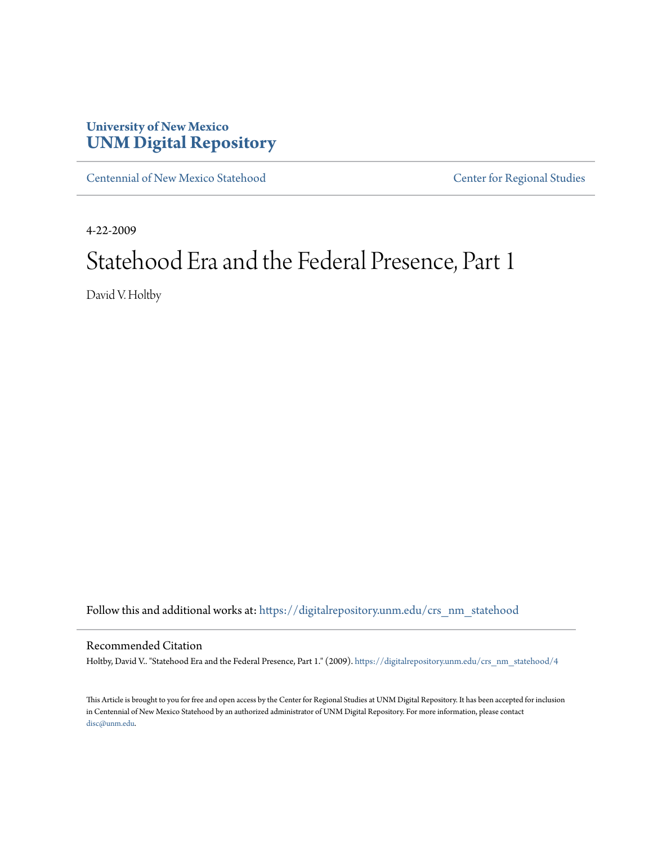## **University of New Mexico [UNM Digital Repository](https://digitalrepository.unm.edu?utm_source=digitalrepository.unm.edu%2Fcrs_nm_statehood%2F4&utm_medium=PDF&utm_campaign=PDFCoverPages)**

[Centennial of New Mexico Statehood](https://digitalrepository.unm.edu/crs_nm_statehood?utm_source=digitalrepository.unm.edu%2Fcrs_nm_statehood%2F4&utm_medium=PDF&utm_campaign=PDFCoverPages) [Center for Regional Studies](https://digitalrepository.unm.edu/crs?utm_source=digitalrepository.unm.edu%2Fcrs_nm_statehood%2F4&utm_medium=PDF&utm_campaign=PDFCoverPages)

4-22-2009

# Statehood Era and the Federal Presence, Part 1

David V. Holtby

Follow this and additional works at: [https://digitalrepository.unm.edu/crs\\_nm\\_statehood](https://digitalrepository.unm.edu/crs_nm_statehood?utm_source=digitalrepository.unm.edu%2Fcrs_nm_statehood%2F4&utm_medium=PDF&utm_campaign=PDFCoverPages)

#### Recommended Citation

Holtby, David V.. "Statehood Era and the Federal Presence, Part 1." (2009). [https://digitalrepository.unm.edu/crs\\_nm\\_statehood/4](https://digitalrepository.unm.edu/crs_nm_statehood/4?utm_source=digitalrepository.unm.edu%2Fcrs_nm_statehood%2F4&utm_medium=PDF&utm_campaign=PDFCoverPages)

This Article is brought to you for free and open access by the Center for Regional Studies at UNM Digital Repository. It has been accepted for inclusion in Centennial of New Mexico Statehood by an authorized administrator of UNM Digital Repository. For more information, please contact [disc@unm.edu](mailto:disc@unm.edu).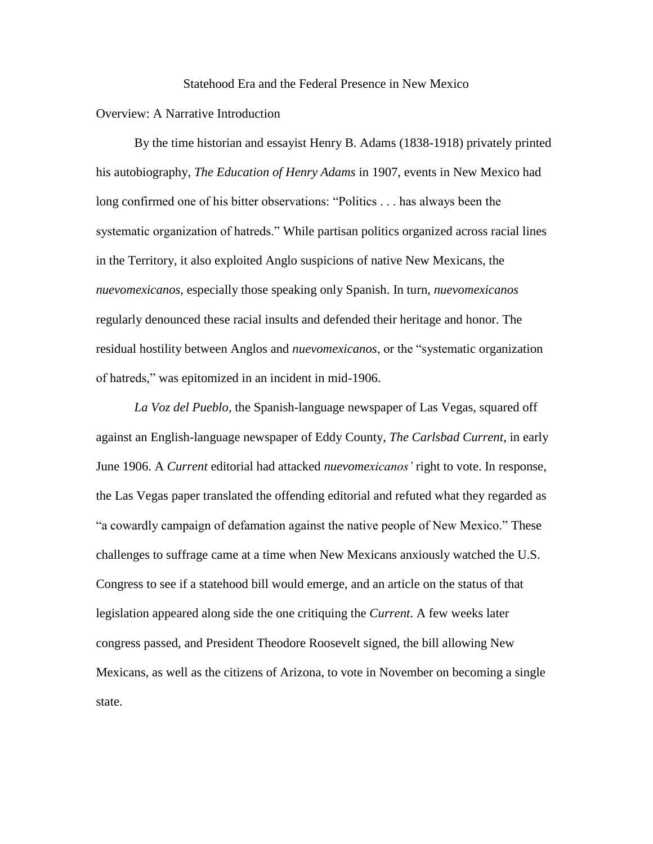#### Statehood Era and the Federal Presence in New Mexico

### Overview: A Narrative Introduction

By the time historian and essayist Henry B. Adams (1838-1918) privately printed his autobiography, *The Education of Henry Adams* in 1907, events in New Mexico had long confirmed one of his bitter observations: "Politics . . . has always been the systematic organization of hatreds." While partisan politics organized across racial lines in the Territory, it also exploited Anglo suspicions of native New Mexicans, the *nuevomexicanos*, especially those speaking only Spanish. In turn, *nuevomexicanos* regularly denounced these racial insults and defended their heritage and honor. The residual hostility between Anglos and *nuevomexicanos*, or the "systematic organization of hatreds," was epitomized in an incident in mid-1906.

*La Voz del Pueblo*, the Spanish-language newspaper of Las Vegas, squared off against an English-language newspaper of Eddy County, *The Carlsbad Current*, in early June 1906. A *Current* editorial had attacked *nuevomexicanos'* right to vote. In response, the Las Vegas paper translated the offending editorial and refuted what they regarded as "a cowardly campaign of defamation against the native people of New Mexico." These challenges to suffrage came at a time when New Mexicans anxiously watched the U.S. Congress to see if a statehood bill would emerge, and an article on the status of that legislation appeared along side the one critiquing the *Current*. A few weeks later congress passed, and President Theodore Roosevelt signed, the bill allowing New Mexicans, as well as the citizens of Arizona, to vote in November on becoming a single state.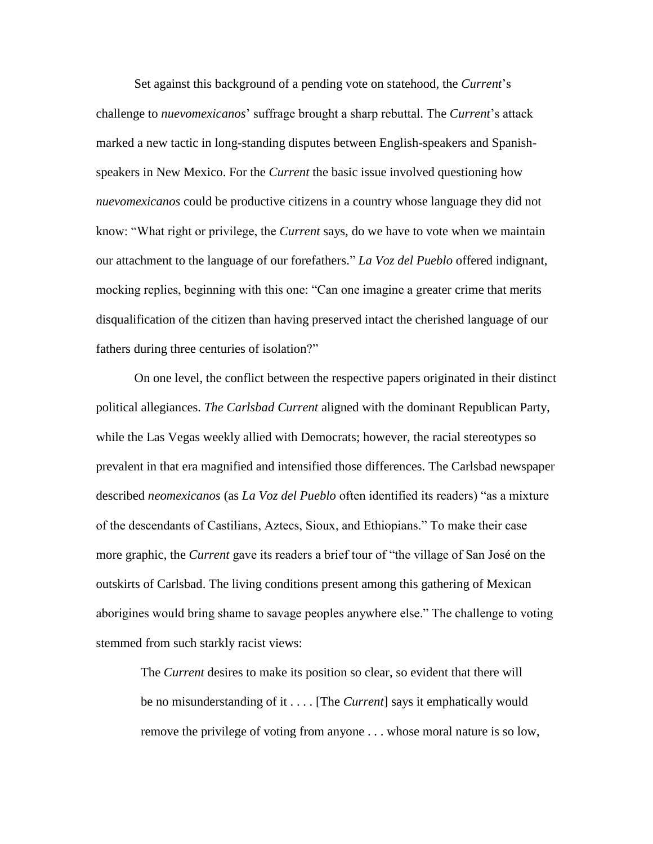Set against this background of a pending vote on statehood, the *Current*'s challenge to *nuevomexicanos*' suffrage brought a sharp rebuttal. The *Current*'s attack marked a new tactic in long-standing disputes between English-speakers and Spanishspeakers in New Mexico. For the *Current* the basic issue involved questioning how *nuevomexicanos* could be productive citizens in a country whose language they did not know: "What right or privilege, the *Current* says, do we have to vote when we maintain our attachment to the language of our forefathers." *La Voz del Pueblo* offered indignant, mocking replies, beginning with this one: "Can one imagine a greater crime that merits disqualification of the citizen than having preserved intact the cherished language of our fathers during three centuries of isolation?"

On one level, the conflict between the respective papers originated in their distinct political allegiances. *The Carlsbad Current* aligned with the dominant Republican Party, while the Las Vegas weekly allied with Democrats; however, the racial stereotypes so prevalent in that era magnified and intensified those differences. The Carlsbad newspaper described *neomexicanos* (as *La Voz del Pueblo* often identified its readers) "as a mixture of the descendants of Castilians, Aztecs, Sioux, and Ethiopians." To make their case more graphic, the *Current* gave its readers a brief tour of "the village of San José on the outskirts of Carlsbad. The living conditions present among this gathering of Mexican aborigines would bring shame to savage peoples anywhere else." The challenge to voting stemmed from such starkly racist views:

The *Current* desires to make its position so clear, so evident that there will be no misunderstanding of it . . . . [The *Current*] says it emphatically would remove the privilege of voting from anyone . . . whose moral nature is so low,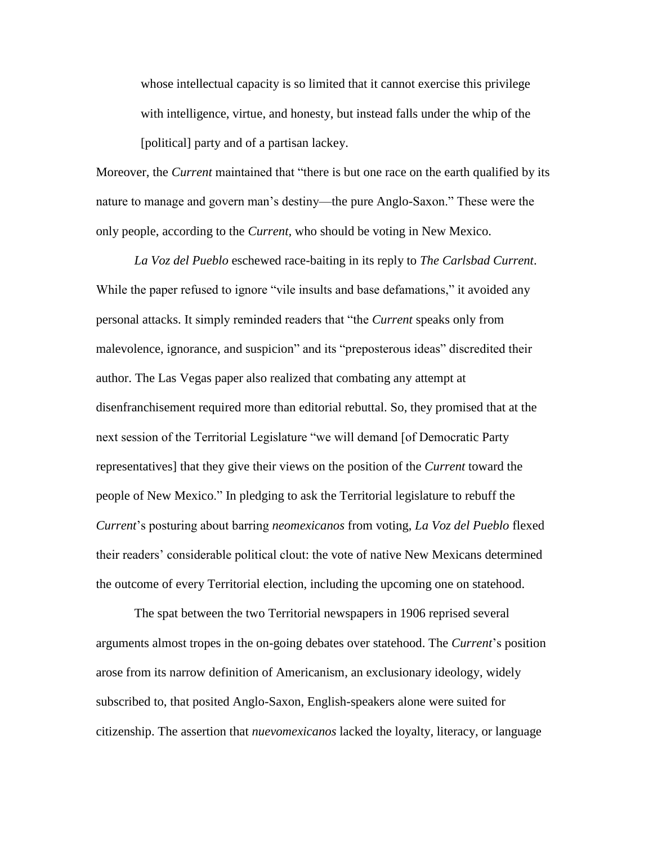whose intellectual capacity is so limited that it cannot exercise this privilege with intelligence, virtue, and honesty, but instead falls under the whip of the [political] party and of a partisan lackey.

Moreover, the *Current* maintained that "there is but one race on the earth qualified by its nature to manage and govern man's destiny—the pure Anglo-Saxon." These were the only people, according to the *Current,* who should be voting in New Mexico.

*La Voz del Pueblo* eschewed race-baiting in its reply to *The Carlsbad Current*. While the paper refused to ignore "vile insults and base defamations," it avoided any personal attacks. It simply reminded readers that "the *Current* speaks only from malevolence, ignorance, and suspicion" and its "preposterous ideas" discredited their author. The Las Vegas paper also realized that combating any attempt at disenfranchisement required more than editorial rebuttal. So, they promised that at the next session of the Territorial Legislature "we will demand [of Democratic Party representatives] that they give their views on the position of the *Current* toward the people of New Mexico." In pledging to ask the Territorial legislature to rebuff the *Current*'s posturing about barring *neomexicanos* from voting, *La Voz del Pueblo* flexed their readers' considerable political clout: the vote of native New Mexicans determined the outcome of every Territorial election, including the upcoming one on statehood.

The spat between the two Territorial newspapers in 1906 reprised several arguments almost tropes in the on-going debates over statehood. The *Current*'s position arose from its narrow definition of Americanism, an exclusionary ideology, widely subscribed to, that posited Anglo-Saxon, English-speakers alone were suited for citizenship. The assertion that *nuevomexicanos* lacked the loyalty, literacy, or language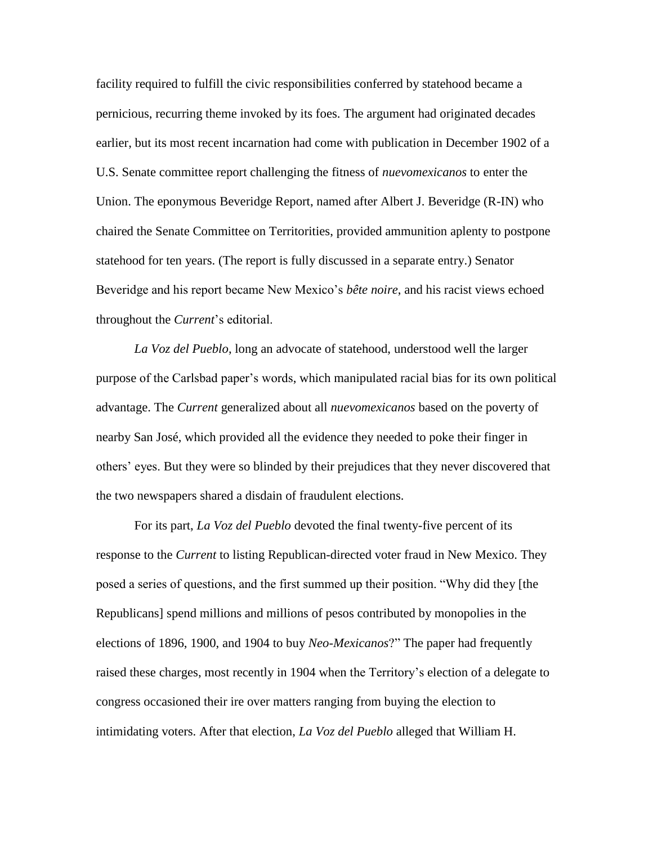facility required to fulfill the civic responsibilities conferred by statehood became a pernicious, recurring theme invoked by its foes. The argument had originated decades earlier, but its most recent incarnation had come with publication in December 1902 of a U.S. Senate committee report challenging the fitness of *nuevomexicanos* to enter the Union. The eponymous Beveridge Report, named after Albert J. Beveridge (R-IN) who chaired the Senate Committee on Territorities, provided ammunition aplenty to postpone statehood for ten years. (The report is fully discussed in a separate entry.) Senator Beveridge and his report became New Mexico's *bête noire*, and his racist views echoed throughout the *Current*'s editorial.

*La Voz del Pueblo*, long an advocate of statehood, understood well the larger purpose of the Carlsbad paper's words, which manipulated racial bias for its own political advantage. The *Current* generalized about all *nuevomexicanos* based on the poverty of nearby San José, which provided all the evidence they needed to poke their finger in others' eyes. But they were so blinded by their prejudices that they never discovered that the two newspapers shared a disdain of fraudulent elections.

For its part, *La Voz del Pueblo* devoted the final twenty-five percent of its response to the *Current* to listing Republican-directed voter fraud in New Mexico. They posed a series of questions, and the first summed up their position. "Why did they [the Republicans] spend millions and millions of pesos contributed by monopolies in the elections of 1896, 1900, and 1904 to buy *Neo-Mexicanos*?" The paper had frequently raised these charges, most recently in 1904 when the Territory's election of a delegate to congress occasioned their ire over matters ranging from buying the election to intimidating voters. After that election, *La Voz del Pueblo* alleged that William H.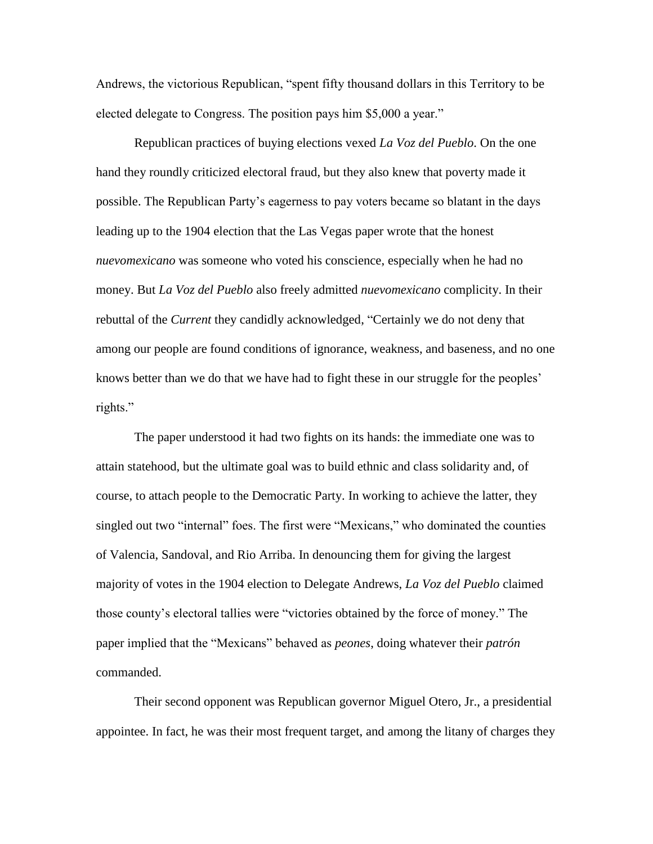Andrews, the victorious Republican, "spent fifty thousand dollars in this Territory to be elected delegate to Congress. The position pays him \$5,000 a year."

Republican practices of buying elections vexed *La Voz del Pueblo*. On the one hand they roundly criticized electoral fraud, but they also knew that poverty made it possible. The Republican Party's eagerness to pay voters became so blatant in the days leading up to the 1904 election that the Las Vegas paper wrote that the honest *nuevomexicano* was someone who voted his conscience, especially when he had no money. But *La Voz del Pueblo* also freely admitted *nuevomexicano* complicity. In their rebuttal of the *Current* they candidly acknowledged, "Certainly we do not deny that among our people are found conditions of ignorance, weakness, and baseness, and no one knows better than we do that we have had to fight these in our struggle for the peoples' rights."

The paper understood it had two fights on its hands: the immediate one was to attain statehood, but the ultimate goal was to build ethnic and class solidarity and, of course, to attach people to the Democratic Party. In working to achieve the latter, they singled out two "internal" foes. The first were "Mexicans," who dominated the counties of Valencia, Sandoval, and Rio Arriba. In denouncing them for giving the largest majority of votes in the 1904 election to Delegate Andrews, *La Voz del Pueblo* claimed those county's electoral tallies were "victories obtained by the force of money." The paper implied that the "Mexicans" behaved as *peones*, doing whatever their *patrón* commanded.

Their second opponent was Republican governor Miguel Otero, Jr., a presidential appointee. In fact, he was their most frequent target, and among the litany of charges they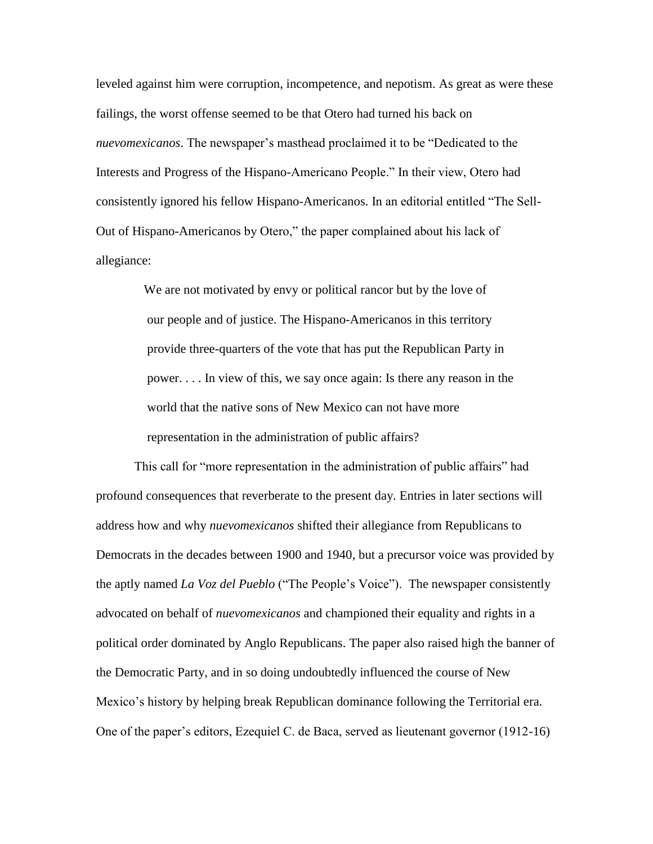leveled against him were corruption, incompetence, and nepotism. As great as were these failings, the worst offense seemed to be that Otero had turned his back on *nuevomexicanos*. The newspaper's masthead proclaimed it to be "Dedicated to the Interests and Progress of the Hispano-Americano People." In their view, Otero had consistently ignored his fellow Hispano-Americanos. In an editorial entitled "The Sell-Out of Hispano-Americanos by Otero," the paper complained about his lack of allegiance:

> We are not motivated by envy or political rancor but by the love of our people and of justice. The Hispano-Americanos in this territory provide three-quarters of the vote that has put the Republican Party in power. . . . In view of this, we say once again: Is there any reason in the world that the native sons of New Mexico can not have more representation in the administration of public affairs?

This call for "more representation in the administration of public affairs" had profound consequences that reverberate to the present day. Entries in later sections will address how and why *nuevomexicanos* shifted their allegiance from Republicans to Democrats in the decades between 1900 and 1940, but a precursor voice was provided by the aptly named *La Voz del Pueblo* ("The People's Voice"). The newspaper consistently advocated on behalf of *nuevomexicanos* and championed their equality and rights in a political order dominated by Anglo Republicans. The paper also raised high the banner of the Democratic Party, and in so doing undoubtedly influenced the course of New Mexico's history by helping break Republican dominance following the Territorial era. One of the paper's editors, Ezequiel C. de Baca, served as lieutenant governor (1912-16)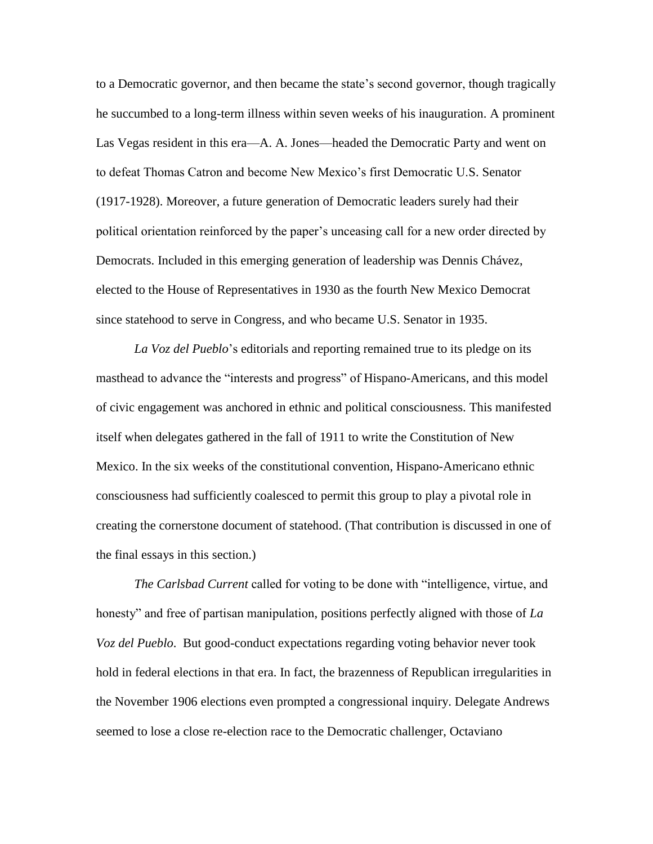to a Democratic governor, and then became the state's second governor, though tragically he succumbed to a long-term illness within seven weeks of his inauguration. A prominent Las Vegas resident in this era—A. A. Jones—headed the Democratic Party and went on to defeat Thomas Catron and become New Mexico's first Democratic U.S. Senator (1917-1928). Moreover, a future generation of Democratic leaders surely had their political orientation reinforced by the paper's unceasing call for a new order directed by Democrats. Included in this emerging generation of leadership was Dennis Chávez, elected to the House of Representatives in 1930 as the fourth New Mexico Democrat since statehood to serve in Congress, and who became U.S. Senator in 1935.

*La Voz del Pueblo*'s editorials and reporting remained true to its pledge on its masthead to advance the "interests and progress" of Hispano-Americans, and this model of civic engagement was anchored in ethnic and political consciousness. This manifested itself when delegates gathered in the fall of 1911 to write the Constitution of New Mexico. In the six weeks of the constitutional convention, Hispano-Americano ethnic consciousness had sufficiently coalesced to permit this group to play a pivotal role in creating the cornerstone document of statehood. (That contribution is discussed in one of the final essays in this section.)

*The Carlsbad Current* called for voting to be done with "intelligence, virtue, and honesty" and free of partisan manipulation, positions perfectly aligned with those of *La Voz del Pueblo*. But good-conduct expectations regarding voting behavior never took hold in federal elections in that era. In fact, the brazenness of Republican irregularities in the November 1906 elections even prompted a congressional inquiry. Delegate Andrews seemed to lose a close re-election race to the Democratic challenger, Octaviano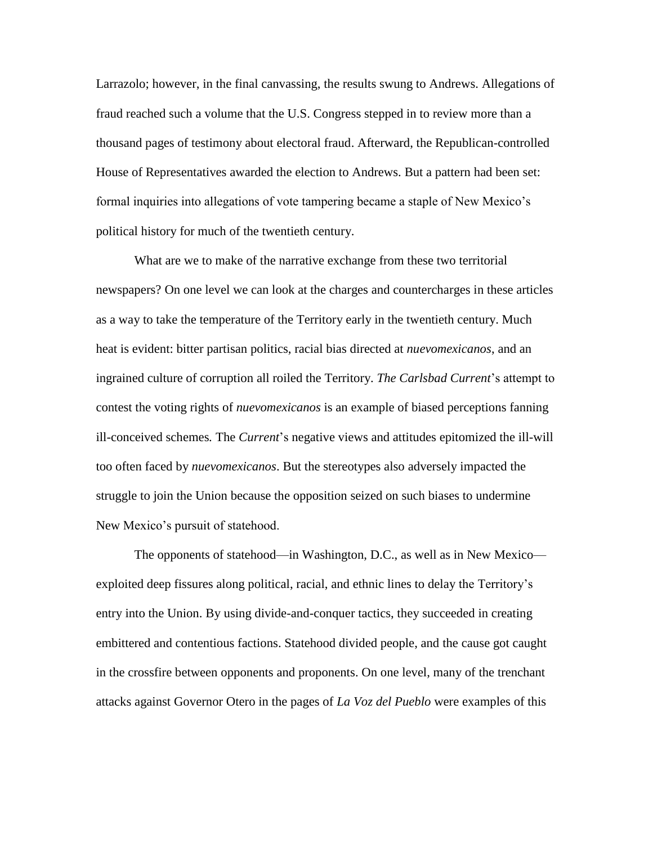Larrazolo; however, in the final canvassing, the results swung to Andrews. Allegations of fraud reached such a volume that the U.S. Congress stepped in to review more than a thousand pages of testimony about electoral fraud. Afterward, the Republican-controlled House of Representatives awarded the election to Andrews. But a pattern had been set: formal inquiries into allegations of vote tampering became a staple of New Mexico's political history for much of the twentieth century.

What are we to make of the narrative exchange from these two territorial newspapers? On one level we can look at the charges and countercharges in these articles as a way to take the temperature of the Territory early in the twentieth century. Much heat is evident: bitter partisan politics, racial bias directed at *nuevomexicanos*, and an ingrained culture of corruption all roiled the Territory. *The Carlsbad Current*'s attempt to contest the voting rights of *nuevomexicanos* is an example of biased perceptions fanning ill-conceived schemes*.* The *Current*'s negative views and attitudes epitomized the ill-will too often faced by *nuevomexicanos*. But the stereotypes also adversely impacted the struggle to join the Union because the opposition seized on such biases to undermine New Mexico's pursuit of statehood.

The opponents of statehood—in Washington, D.C., as well as in New Mexico exploited deep fissures along political, racial, and ethnic lines to delay the Territory's entry into the Union. By using divide-and-conquer tactics, they succeeded in creating embittered and contentious factions. Statehood divided people, and the cause got caught in the crossfire between opponents and proponents. On one level, many of the trenchant attacks against Governor Otero in the pages of *La Voz del Pueblo* were examples of this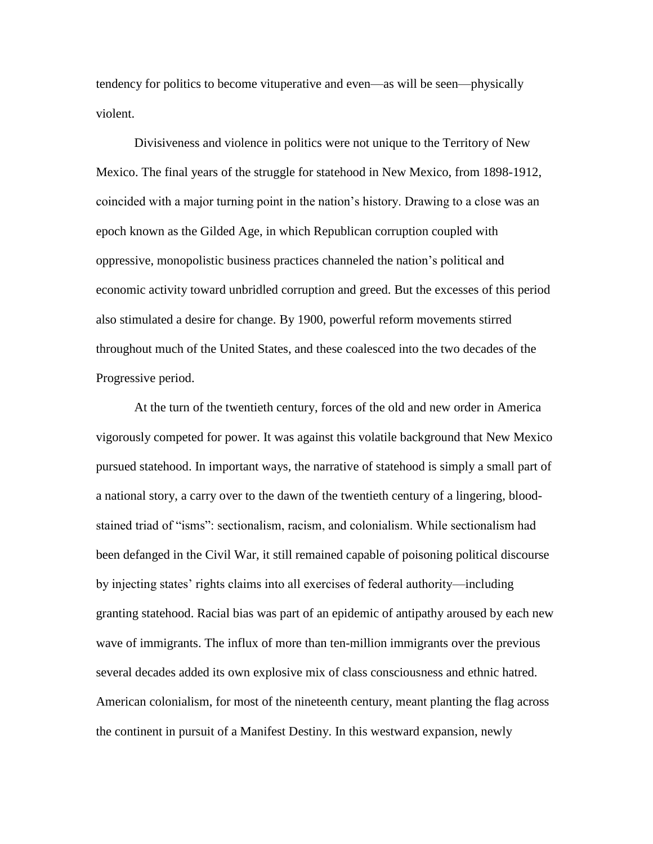tendency for politics to become vituperative and even—as will be seen—physically violent.

Divisiveness and violence in politics were not unique to the Territory of New Mexico. The final years of the struggle for statehood in New Mexico, from 1898-1912, coincided with a major turning point in the nation's history. Drawing to a close was an epoch known as the Gilded Age, in which Republican corruption coupled with oppressive, monopolistic business practices channeled the nation's political and economic activity toward unbridled corruption and greed. But the excesses of this period also stimulated a desire for change. By 1900, powerful reform movements stirred throughout much of the United States, and these coalesced into the two decades of the Progressive period.

At the turn of the twentieth century, forces of the old and new order in America vigorously competed for power. It was against this volatile background that New Mexico pursued statehood. In important ways, the narrative of statehood is simply a small part of a national story, a carry over to the dawn of the twentieth century of a lingering, bloodstained triad of "isms": sectionalism, racism, and colonialism. While sectionalism had been defanged in the Civil War, it still remained capable of poisoning political discourse by injecting states' rights claims into all exercises of federal authority—including granting statehood. Racial bias was part of an epidemic of antipathy aroused by each new wave of immigrants. The influx of more than ten-million immigrants over the previous several decades added its own explosive mix of class consciousness and ethnic hatred. American colonialism, for most of the nineteenth century, meant planting the flag across the continent in pursuit of a Manifest Destiny. In this westward expansion, newly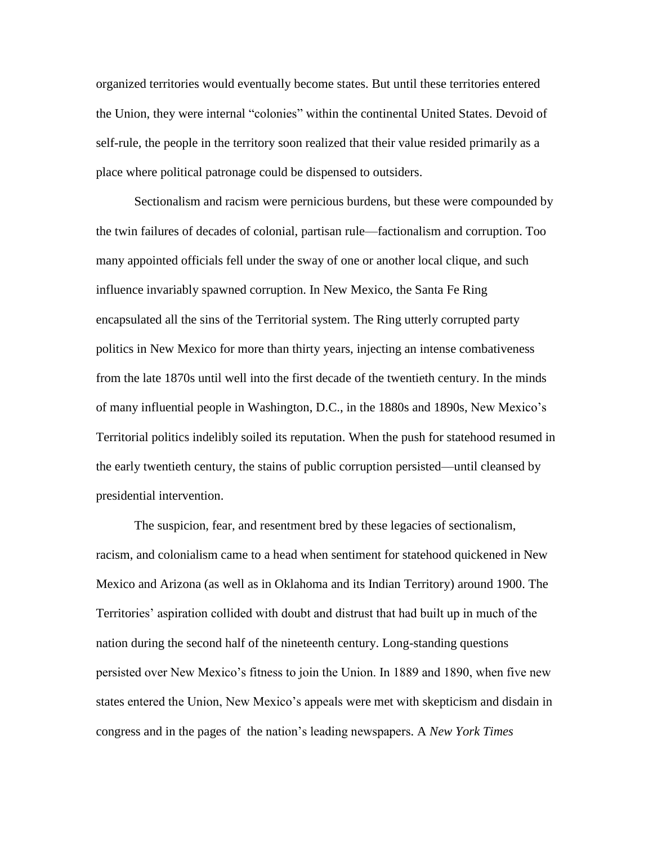organized territories would eventually become states. But until these territories entered the Union, they were internal "colonies" within the continental United States. Devoid of self-rule, the people in the territory soon realized that their value resided primarily as a place where political patronage could be dispensed to outsiders.

Sectionalism and racism were pernicious burdens, but these were compounded by the twin failures of decades of colonial, partisan rule—factionalism and corruption. Too many appointed officials fell under the sway of one or another local clique, and such influence invariably spawned corruption. In New Mexico, the Santa Fe Ring encapsulated all the sins of the Territorial system. The Ring utterly corrupted party politics in New Mexico for more than thirty years, injecting an intense combativeness from the late 1870s until well into the first decade of the twentieth century. In the minds of many influential people in Washington, D.C., in the 1880s and 1890s, New Mexico's Territorial politics indelibly soiled its reputation. When the push for statehood resumed in the early twentieth century, the stains of public corruption persisted—until cleansed by presidential intervention.

The suspicion, fear, and resentment bred by these legacies of sectionalism, racism, and colonialism came to a head when sentiment for statehood quickened in New Mexico and Arizona (as well as in Oklahoma and its Indian Territory) around 1900. The Territories' aspiration collided with doubt and distrust that had built up in much of the nation during the second half of the nineteenth century. Long-standing questions persisted over New Mexico's fitness to join the Union. In 1889 and 1890, when five new states entered the Union, New Mexico's appeals were met with skepticism and disdain in congress and in the pages of the nation's leading newspapers. A *New York Times*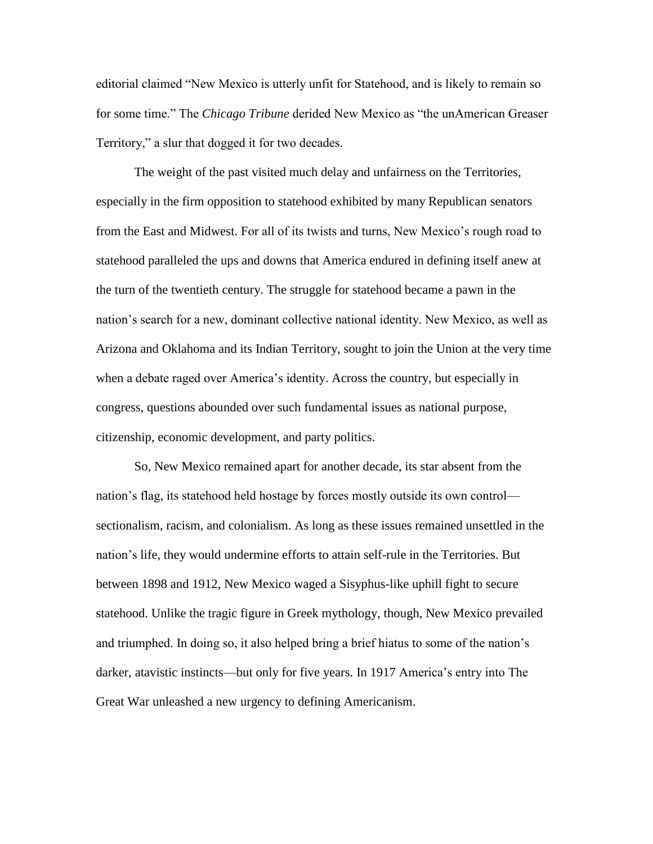editorial claimed "New Mexico is utterly unfit for Statehood, and is likely to remain so for some time." The *Chicago Tribune* derided New Mexico as "the unAmerican Greaser Territory," a slur that dogged it for two decades.

The weight of the past visited much delay and unfairness on the Territories, especially in the firm opposition to statehood exhibited by many Republican senators from the East and Midwest. For all of its twists and turns, New Mexico's rough road to statehood paralleled the ups and downs that America endured in defining itself anew at the turn of the twentieth century. The struggle for statehood became a pawn in the nation's search for a new, dominant collective national identity. New Mexico, as well as Arizona and Oklahoma and its Indian Territory, sought to join the Union at the very time when a debate raged over America's identity. Across the country, but especially in congress, questions abounded over such fundamental issues as national purpose, citizenship, economic development, and party politics.

So, New Mexico remained apart for another decade, its star absent from the nation's flag, its statehood held hostage by forces mostly outside its own control sectionalism, racism, and colonialism. As long as these issues remained unsettled in the nation's life, they would undermine efforts to attain self-rule in the Territories. But between 1898 and 1912, New Mexico waged a Sisyphus-like uphill fight to secure statehood. Unlike the tragic figure in Greek mythology, though, New Mexico prevailed and triumphed. In doing so, it also helped bring a brief hiatus to some of the nation's darker, atavistic instincts—but only for five years. In 1917 America's entry into The Great War unleashed a new urgency to defining Americanism.